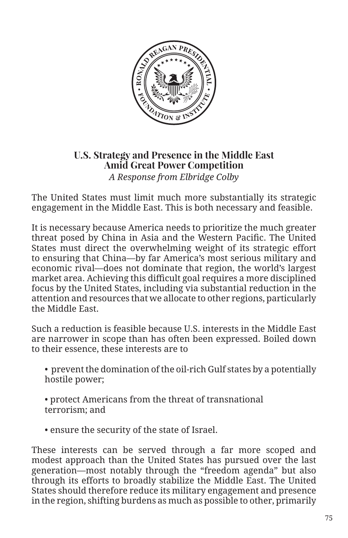

## **U.S. Strategy and Presence in the Middle East Amid Great Power Competition**  *A Response from Elbridge Colby*

The United States must limit much more substantially its strategic engagement in the Middle East. This is both necessary and feasible.

It is necessary because America needs to prioritize the much greater threat posed by China in Asia and the Western Pacific. The United States must direct the overwhelming weight of its strategic effort to ensuring that China—by far America's most serious military and economic rival—does not dominate that region, the world's largest market area. Achieving this difficult goal requires a more disciplined focus by the United States, including via substantial reduction in the attention and resources that we allocate to other regions, particularly the Middle East.

Such a reduction is feasible because U.S. interests in the Middle East are narrower in scope than has often been expressed. Boiled down to their essence, these interests are to

• prevent the domination of the oil-rich Gulf states by a potentially hostile power;

• protect Americans from the threat of transnational terrorism; and

• ensure the security of the state of Israel.

These interests can be served through a far more scoped and modest approach than the United States has pursued over the last generation—most notably through the "freedom agenda" but also through its efforts to broadly stabilize the Middle East. The United States should therefore reduce its military engagement and presence in the region, shifting burdens as much as possible to other, primarily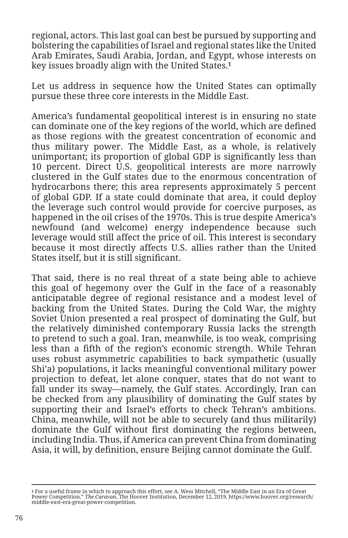regional, actors. This last goal can best be pursued by supporting and bolstering the capabilities of Israel and regional states like the United Arab Emirates, Saudi Arabia, Jordan, and Egypt, whose interests on key issues broadly align with the United States.**<sup>1</sup>**

Let us address in sequence how the United States can optimally pursue these three core interests in the Middle East.

America's fundamental geopolitical interest is in ensuring no state can dominate one of the key regions of the world, which are defined as those regions with the greatest concentration of economic and thus military power. The Middle East, as a whole, is relatively unimportant; its proportion of global GDP is significantly less than 10 percent. Direct U.S. geopolitical interests are more narrowly clustered in the Gulf states due to the enormous concentration of hydrocarbons there; this area represents approximately 5 percent of global GDP. If a state could dominate that area, it could deploy the leverage such control would provide for coercive purposes, as happened in the oil crises of the 1970s. This is true despite America's newfound (and welcome) energy independence because such leverage would still affect the price of oil. This interest is secondary because it most directly affects U.S. allies rather than the United States itself, but it is still significant.

That said, there is no real threat of a state being able to achieve this goal of hegemony over the Gulf in the face of a reasonably anticipatable degree of regional resistance and a modest level of backing from the United States. During the Cold War, the mighty Soviet Union presented a real prospect of dominating the Gulf, but the relatively diminished contemporary Russia lacks the strength to pretend to such a goal. Iran, meanwhile, is too weak, comprising less than a fifth of the region's economic strength. While Tehran uses robust asymmetric capabilities to back sympathetic (usually Shi'a) populations, it lacks meaningful conventional military power projection to defeat, let alone conquer, states that do not want to fall under its sway—namely, the Gulf states. Accordingly, Iran can be checked from any plausibility of dominating the Gulf states by supporting their and Israel's efforts to check Tehran's ambitions. China, meanwhile, will not be able to securely (and thus militarily) dominate the Gulf without first dominating the regions between, including India. Thus, if America can prevent China from dominating Asia, it will, by definition, ensure Beijing cannot dominate the Gulf.

<sup>1</sup> For a useful frame in which to approach this effort, see A. Wess Mitchell, "The Middle East in an Era of Great<br>Power Competition," *The Caravan*, The Hoover Institution, December 12, 2019, https://www.hoover.org/research middle-east-era-great-power-competition.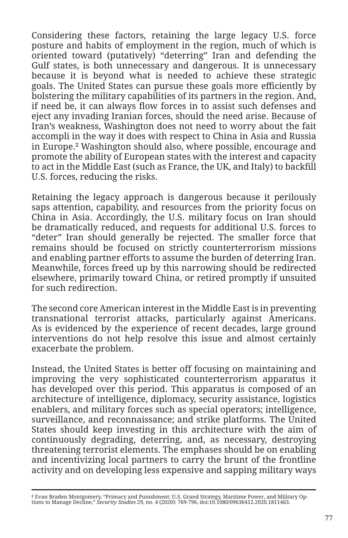Considering these factors, retaining the large legacy U.S. force posture and habits of employment in the region, much of which is oriented toward (putatively) "deterring" Iran and defending the Gulf states, is both unnecessary and dangerous. It is unnecessary because it is beyond what is needed to achieve these strategic goals. The United States can pursue these goals more efficiently by bolstering the military capabilities of its partners in the region. And, if need be, it can always flow forces in to assist such defenses and eject any invading Iranian forces, should the need arise. Because of Iran's weakness, Washington does not need to worry about the fait accompli in the way it does with respect to China in Asia and Russia in Europe.**2** Washington should also, where possible, encourage and promote the ability of European states with the interest and capacity to act in the Middle East (such as France, the UK, and Italy) to backfill U.S. forces, reducing the risks.

Retaining the legacy approach is dangerous because it perilously saps attention, capability, and resources from the priority focus on China in Asia. Accordingly, the U.S. military focus on Iran should be dramatically reduced, and requests for additional U.S. forces to "deter" Iran should generally be rejected. The smaller force that remains should be focused on strictly counterterrorism missions and enabling partner efforts to assume the burden of deterring Iran. Meanwhile, forces freed up by this narrowing should be redirected elsewhere, primarily toward China, or retired promptly if unsuited for such redirection.

The second core American interest in the Middle East is in preventing transnational terrorist attacks, particularly against Americans. As is evidenced by the experience of recent decades, large ground interventions do not help resolve this issue and almost certainly exacerbate the problem.

Instead, the United States is better off focusing on maintaining and improving the very sophisticated counterterrorism apparatus it has developed over this period. This apparatus is composed of an architecture of intelligence, diplomacy, security assistance, logistics enablers, and military forces such as special operators; intelligence, surveillance, and reconnaissance; and strike platforms. The United States should keep investing in this architecture with the aim of continuously degrading, deterring, and, as necessary, destroying threatening terrorist elements. The emphases should be on enabling and incentivizing local partners to carry the brunt of the frontline activity and on developing less expensive and sapping military ways

**<sup>2</sup>** Evan Braden Montgomery, "Primacy and Punishment: U.S. Grand Strategy, Maritime Power, and Military Op-tions to Manage Decline," *Security Studies* 29, no. 4 (2020): 769-796, doi:10.1080/09636412.2020.1811463.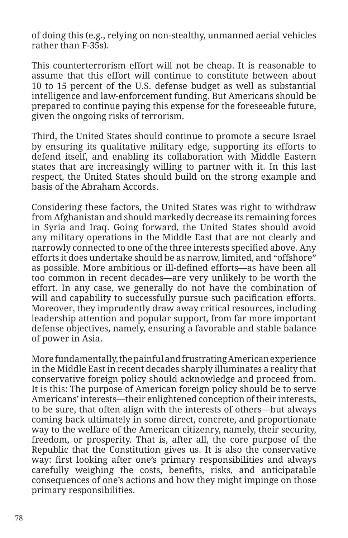of doing this (e.g., relying on non-stealthy, unmanned aerial vehicles rather than F-35s).

This counterterrorism effort will not be cheap. It is reasonable to assume that this effort will continue to constitute between about 10 to 15 percent of the U.S. defense budget as well as substantial intelligence and law-enforcement funding. But Americans should be prepared to continue paying this expense for the foreseeable future, given the ongoing risks of terrorism.

Third, the United States should continue to promote a secure Israel by ensuring its qualitative military edge, supporting its efforts to defend itself, and enabling its collaboration with Middle Eastern states that are increasingly willing to partner with it. In this last respect, the United States should build on the strong example and basis of the Abraham Accords.

Considering these factors, the United States was right to withdraw from Afghanistan and should markedly decrease its remaining forces in Syria and Iraq. Going forward, the United States should avoid any military operations in the Middle East that are not clearly and narrowly connected to one of the three interests specified above. Any efforts it does undertake should be as narrow, limited, and "offshore" as possible. More ambitious or ill-defined efforts—as have been all too common in recent decades—are very unlikely to be worth the effort. In any case, we generally do not have the combination of will and capability to successfully pursue such pacification efforts. Moreover, they imprudently draw away critical resources, including leadership attention and popular support, from far more important defense objectives, namely, ensuring a favorable and stable balance of power in Asia.

More fundamentally, the painful and frustrating American experience in the Middle East in recent decades sharply illuminates a reality that conservative foreign policy should acknowledge and proceed from. It is this: The purpose of American foreign policy should be to serve Americans' interests—their enlightened conception of their interests, to be sure, that often align with the interests of others—but always coming back ultimately in some direct, concrete, and proportionate way to the welfare of the American citizenry, namely, their security, freedom, or prosperity. That is, after all, the core purpose of the Republic that the Constitution gives us. It is also the conservative way: first looking after one's primary responsibilities and always carefully weighing the costs, benefits, risks, and anticipatable consequences of one's actions and how they might impinge on those primary responsibilities.